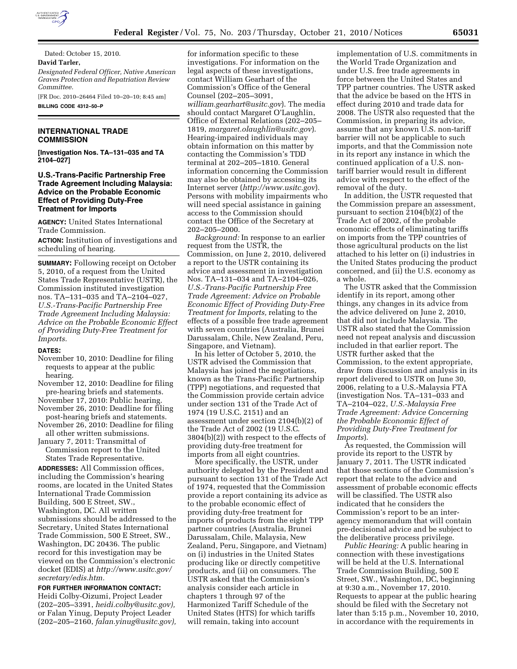

Dated: October 15, 2010.

**David Tarler,** 

*Designated Federal Officer, Native American Graves Protection and Repatriation Review Committee.* 

[FR Doc. 2010–26464 Filed 10–20–10; 8:45 am] **BILLING CODE 4312–50–P** 

### **INTERNATIONAL TRADE COMMISSION**

**[Investigation Nos. TA–131–035 and TA 2104–027]** 

## **U.S.-Trans-Pacific Partnership Free Trade Agreement Including Malaysia: Advice on the Probable Economic Effect of Providing Duty-Free Treatment for Imports**

**AGENCY:** United States International Trade Commission.

**ACTION:** Institution of investigations and scheduling of hearing.

**SUMMARY:** Following receipt on October 5, 2010, of a request from the United States Trade Representative (USTR), the Commission instituted investigation nos. TA–131–035 and TA–2104–027, *U.S.-Trans-Pacific Partnership Free Trade Agreement Including Malaysia: Advice on the Probable Economic Effect of Providing Duty-Free Treatment for Imports.* 

#### **DATES:**

- November 10, 2010: Deadline for filing requests to appear at the public hearing.
- November 12, 2010: Deadline for filing pre-hearing briefs and statements.
- November 17, 2010: Public hearing. November 26, 2010: Deadline for filing
- post-hearing briefs and statements. November 26, 2010: Deadline for filing all other written submissions.
- January 7, 2011: Transmittal of
- Commission report to the United States Trade Representative.

**ADDRESSES:** All Commission offices, including the Commission's hearing rooms, are located in the United States International Trade Commission Building, 500 E Street, SW., Washington, DC. All written submissions should be addressed to the Secretary, United States International Trade Commission, 500 E Street, SW., Washington, DC 20436. The public record for this investigation may be viewed on the Commission's electronic docket (EDIS) at *[http://www.usitc.gov/](http://www.usitc.gov/secretary/edis.htm) [secretary/edis.htm.](http://www.usitc.gov/secretary/edis.htm)* 

**FOR FURTHER INFORMATION CONTACT:**  Heidi Colby-Oizumi, Project Leader (202–205–3391, *[heidi.colby@usitc.gov\),](mailto:heidi.colby@usitc.gov)*  or Falan Yinug, Deputy Project Leader (202–205–2160, *[falan.yinug@usitc.gov\),](mailto:falan.yinug@usitc.gov)* 

for information specific to these investigations. For information on the legal aspects of these investigations, contact William Gearhart of the Commission's Office of the General Counsel (202–205–3091, *[william.gearhart@usitc.gov](mailto:william.gearhart@usitc.gov)*). The media should contact Margaret O'Laughlin, Office of External Relations (202–205– 1819, *[margaret.olaughlin@usitc.gov](mailto:margaret.olaughlin@usitc.gov)*). Hearing-impaired individuals may obtain information on this matter by contacting the Commission's TDD terminal at 202–205–1810. General information concerning the Commission may also be obtained by accessing its Internet server (*<http://www.usitc.gov>*). Persons with mobility impairments who will need special assistance in gaining access to the Commission should contact the Office of the Secretary at 202–205–2000.

*Background:* In response to an earlier request from the USTR, the Commission, on June 2, 2010, delivered a report to the USTR containing its advice and assessment in investigation Nos. TA–131–034 and TA–2104–026, *U.S.-Trans-Pacific Partnership Free Trade Agreement: Advice on Probable Economic Effect of Providing Duty-Free Treatment for Imports,* relating to the effects of a possible free trade agreement with seven countries (Australia, Brunei Darussalam, Chile, New Zealand, Peru, Singapore, and Vietnam).

In his letter of October 5, 2010, the USTR advised the Commission that Malaysia has joined the negotiations, known as the Trans-Pacific Partnership (TPP) negotiations, and requested that the Commission provide certain advice under section 131 of the Trade Act of 1974 (19 U.S.C. 2151) and an assessment under section 2104(b)(2) of the Trade Act of 2002 (19 U.S.C. 3804(b)(2)) with respect to the effects of providing duty-free treatment for imports from all eight countries.

More specifically, the USTR, under authority delegated by the President and pursuant to section 131 of the Trade Act of 1974, requested that the Commission provide a report containing its advice as to the probable economic effect of providing duty-free treatment for imports of products from the eight TPP partner countries (Australia, Brunei Darussalam, Chile, Malaysia, New Zealand, Peru, Singapore, and Vietnam) on (i) industries in the United States producing like or directly competitive products, and (ii) on consumers. The USTR asked that the Commission's analysis consider each article in chapters 1 through 97 of the Harmonized Tariff Schedule of the United States (HTS) for which tariffs will remain, taking into account

implementation of U.S. commitments in the World Trade Organization and under U.S. free trade agreements in force between the United States and TPP partner countries. The USTR asked that the advice be based on the HTS in effect during 2010 and trade data for 2008. The USTR also requested that the Commission, in preparing its advice, assume that any known U.S. non-tariff barrier will not be applicable to such imports, and that the Commission note in its report any instance in which the continued application of a U.S. nontariff barrier would result in different advice with respect to the effect of the removal of the duty.

In addition, the USTR requested that the Commission prepare an assessment, pursuant to section 2104(b)(2) of the Trade Act of 2002, of the probable economic effects of eliminating tariffs on imports from the TPP countries of those agricultural products on the list attached to his letter on (i) industries in the United States producing the product concerned, and (ii) the U.S. economy as a whole.

The USTR asked that the Commission identify in its report, among other things, any changes in its advice from the advice delivered on June 2, 2010, that did not include Malaysia. The USTR also stated that the Commission need not repeat analysis and discussion included in that earlier report. The USTR further asked that the Commission, to the extent appropriate, draw from discussion and analysis in its report delivered to USTR on June 30, 2006, relating to a U.S.-Malaysia FTA (investigation Nos. TA–131–033 and TA–2104–022, *U.S.-Malaysia Free Trade Agreement: Advice Concerning the Probable Economic Effect of Providing Duty-Free Treatment for Imports*).

As requested, the Commission will provide its report to the USTR by January 7, 2011. The USTR indicated that those sections of the Commission's report that relate to the advice and assessment of probable economic effects will be classified. The USTR also indicated that he considers the Commission's report to be an interagency memorandum that will contain pre-decisional advice and be subject to the deliberative process privilege.

*Public Hearing:* A public hearing in connection with these investigations will be held at the U.S. International Trade Commission Building, 500 E Street, SW., Washington, DC, beginning at 9:30 a.m., November 17, 2010. Requests to appear at the public hearing should be filed with the Secretary not later than 5:15 p.m., November 10, 2010, in accordance with the requirements in